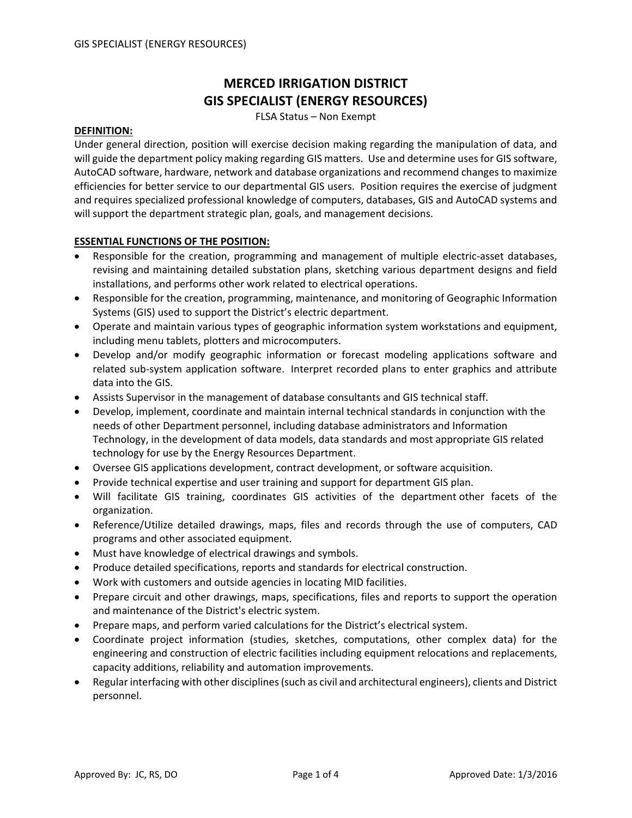# **MERCED IRRIGATION DISTRICT GIS SPECIALIST (ENERGY RESOURCES)**

FLSA Status – Non Exempt

#### **DEFINITION:**

Under general direction, position will exercise decision making regarding the manipulation of data, and will guide the department policy making regarding GIS matters. Use and determine usesfor GIS software, AutoCAD software, hardware, network and database organizations and recommend changes to maximize efficiencies for better service to our departmental GIS users. Position requires the exercise of judgment and requires specialized professional knowledge of computers, databases, GIS and AutoCAD systems and will support the department strategic plan, goals, and management decisions.

# **ESSENTIAL FUNCTIONS OF THE POSITION:**

- Responsible for the creation, programming and management of multiple electric-asset databases, revising and maintaining detailed substation plans, sketching various department designs and field installations, and performs other work related to electrical operations.
- Responsible for the creation, programming, maintenance, and monitoring of Geographic Information Systems (GIS) used to support the District's electric department.
- Operate and maintain various types of geographic information system workstations and equipment, including menu tablets, plotters and microcomputers.
- Develop and/or modify geographic information or forecast modeling applications software and related sub‐system application software. Interpret recorded plans to enter graphics and attribute data into the GIS.
- Assists Supervisor in the management of database consultants and GIS technical staff.
- Develop, implement, coordinate and maintain internal technical standards in conjunction with the needs of other Department personnel, including database administrators and Information Technology, in the development of data models, data standards and most appropriate GIS related technology for use by the Energy Resources Department.
- Oversee GIS applications development, contract development, or software acquisition.
- Provide technical expertise and user training and support for department GIS plan.
- Will facilitate GIS training, coordinates GIS activities of the department other facets of the organization.
- Reference/Utilize detailed drawings, maps, files and records through the use of computers, CAD programs and other associated equipment.
- Must have knowledge of electrical drawings and symbols.
- Produce detailed specifications, reports and standards for electrical construction.
- Work with customers and outside agencies in locating MID facilities.
- Prepare circuit and other drawings, maps, specifications, files and reports to support the operation and maintenance of the District's electric system.
- Prepare maps, and perform varied calculations for the District's electrical system.
- Coordinate project information (studies, sketches, computations, other complex data) for the engineering and construction of electric facilities including equipment relocations and replacements, capacity additions, reliability and automation improvements.
- Regular interfacing with other disciplines(such as civil and architectural engineers), clients and District personnel.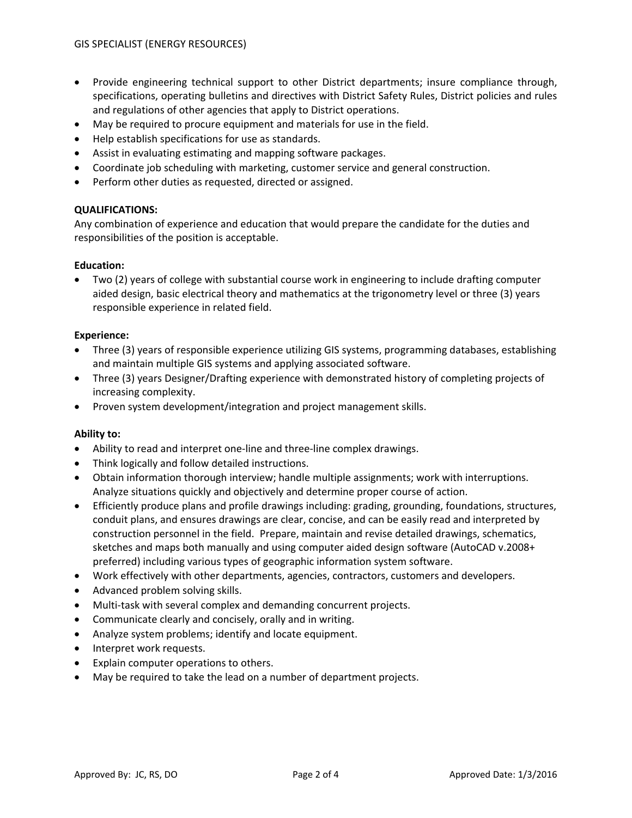- Provide engineering technical support to other District departments; insure compliance through, specifications, operating bulletins and directives with District Safety Rules, District policies and rules and regulations of other agencies that apply to District operations.
- May be required to procure equipment and materials for use in the field.
- Help establish specifications for use as standards.
- Assist in evaluating estimating and mapping software packages.
- Coordinate job scheduling with marketing, customer service and general construction.
- Perform other duties as requested, directed or assigned.

# **QUALIFICATIONS:**

Any combination of experience and education that would prepare the candidate for the duties and responsibilities of the position is acceptable.

# **Education:**

• Two (2) years of college with substantial course work in engineering to include drafting computer aided design, basic electrical theory and mathematics at the trigonometry level or three (3) years responsible experience in related field.

# **Experience:**

- Three (3) years of responsible experience utilizing GIS systems, programming databases, establishing and maintain multiple GIS systems and applying associated software.
- Three (3) years Designer/Drafting experience with demonstrated history of completing projects of increasing complexity.
- Proven system development/integration and project management skills.

#### **Ability to:**

- Ability to read and interpret one‐line and three‐line complex drawings.
- Think logically and follow detailed instructions.
- Obtain information thorough interview; handle multiple assignments; work with interruptions. Analyze situations quickly and objectively and determine proper course of action.
- Efficiently produce plans and profile drawings including: grading, grounding, foundations, structures, conduit plans, and ensures drawings are clear, concise, and can be easily read and interpreted by construction personnel in the field. Prepare, maintain and revise detailed drawings, schematics, sketches and maps both manually and using computer aided design software (AutoCAD v.2008+ preferred) including various types of geographic information system software.
- Work effectively with other departments, agencies, contractors, customers and developers.
- Advanced problem solving skills.
- Multi-task with several complex and demanding concurrent projects.
- Communicate clearly and concisely, orally and in writing.
- Analyze system problems; identify and locate equipment.
- Interpret work requests.
- Explain computer operations to others.
- May be required to take the lead on a number of department projects.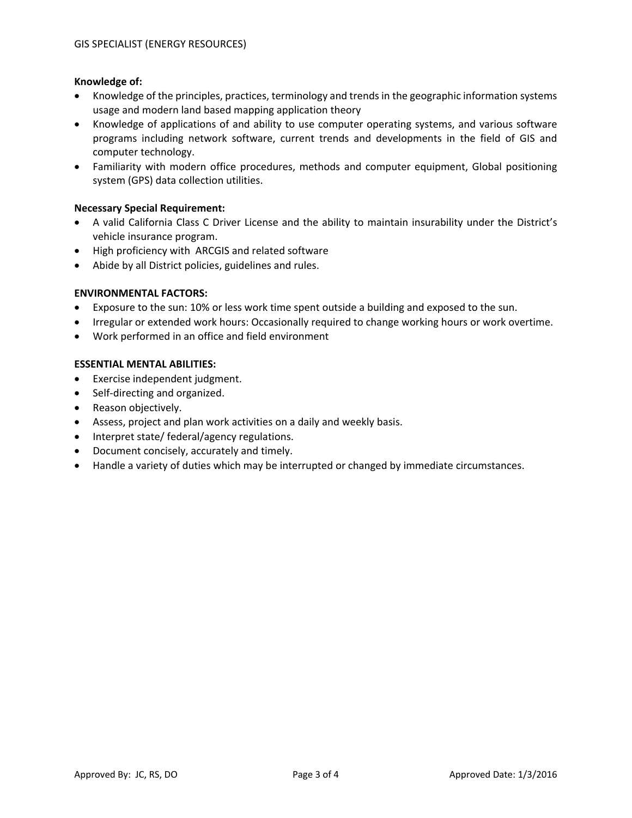# **Knowledge of:**

- Knowledge of the principles, practices, terminology and trends in the geographic information systems usage and modern land based mapping application theory
- Knowledge of applications of and ability to use computer operating systems, and various software programs including network software, current trends and developments in the field of GIS and computer technology.
- Familiarity with modern office procedures, methods and computer equipment, Global positioning system (GPS) data collection utilities.

# **Necessary Special Requirement:**

- A valid California Class C Driver License and the ability to maintain insurability under the District's vehicle insurance program.
- High proficiency with ARCGIS and related software
- Abide by all District policies, guidelines and rules.

# **ENVIRONMENTAL FACTORS:**

- Exposure to the sun: 10% or less work time spent outside a building and exposed to the sun.
- Irregular or extended work hours: Occasionally required to change working hours or work overtime.
- Work performed in an office and field environment

# **ESSENTIAL MENTAL ABILITIES:**

- Exercise independent judgment.
- Self-directing and organized.
- Reason objectively.
- Assess, project and plan work activities on a daily and weekly basis.
- Interpret state/ federal/agency regulations.
- Document concisely, accurately and timely.
- Handle a variety of duties which may be interrupted or changed by immediate circumstances.